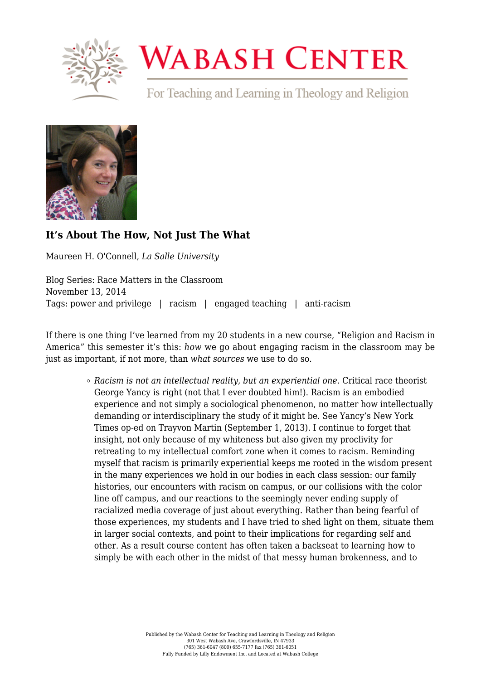

## **WABASH CENTER**

For Teaching and Learning in Theology and Religion



## **[It's About The How, Not Just The What](https://www.wabashcenter.wabash.edu/2014/11/its-about-the-how-not-just-the-what/)**

Maureen H. O'Connell, *La Salle University*

Blog Series: Race Matters in the Classroom November 13, 2014 Tags: power and privilege | racism | engaged teaching | anti-racism

If there is one thing I've learned from my 20 students in a new course, "Religion and Racism in America" this semester it's this: *how* we go about engaging racism in the classroom may be just as important, if not more, than *what sources* we use to do so.

> *Racism is not an intellectual reality, but an experiential one*. Critical race theorist [George Yancy](http://philosophy.emory.edu/home/people/faculty/yancy-george.html) is right (not that I ever doubted him!). Racism is an embodied experience and not simply a sociological phenomenon, no matter how intellectually demanding or interdisciplinary the study of it might be. See Yancy's [New York](mailto:http://opinionator.blogs.nytimes.com/2013/09/01/walking-while-black-in-the-white-gaze/%3F_php=true%26_type=blogs%26_r=0) [Times op-ed](mailto:http://opinionator.blogs.nytimes.com/2013/09/01/walking-while-black-in-the-white-gaze/%3F_php=true%26_type=blogs%26_r=0) on Trayvon Martin (September 1, 2013). I continue to forget that insight, not only because of my whiteness but also given my proclivity for retreating to my intellectual comfort zone when it comes to racism. Reminding myself that racism is primarily experiential keeps me rooted in the wisdom present in the many experiences we hold in our bodies in each class session: our family histories, our encounters with racism on campus, or our collisions with the color line off campus, and our reactions to the seemingly never ending supply of racialized media coverage of just about everything. Rather than being fearful of those experiences, my students and I have tried to shed light on them, situate them in larger social contexts, and point to their implications for regarding self and other. As a result course content has often taken a backseat to learning how to simply be with each other in the midst of that messy human brokenness, and to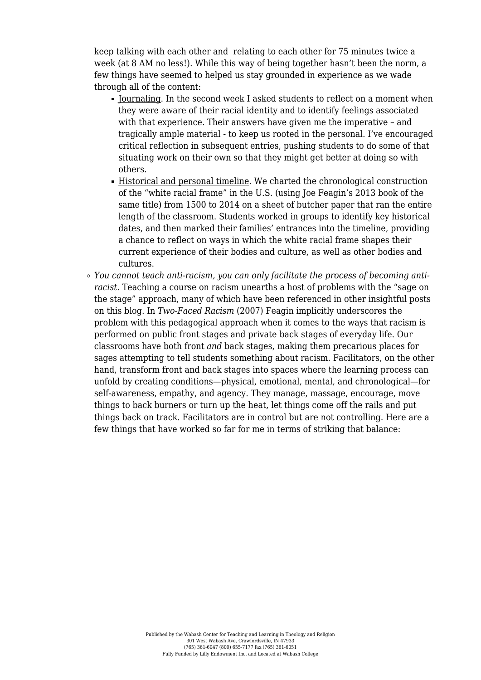keep talking with each other and relating to each other for 75 minutes twice a week (at 8 AM no less!). While this way of being together hasn't been the norm, a few things have seemed to helped us stay grounded in experience as we wade through all of the content:

- $\blacksquare$  Journaling. In the second week I asked students to reflect on a moment when they were aware of their racial identity and to identify feelings associated with that experience. Their answers have given me the imperative – and tragically ample material - to keep us rooted in the personal. I've encouraged critical reflection in subsequent entries, pushing students to do some of that situating work on their own so that they might get better at doing so with others.
- Historical and personal timeline. We charted the chronological construction of the "white racial frame" in the U.S. (using [Joe Feagin's 2013 book of the](http://www.amazon.com/The-White-Racial-Frame-Counter-Framing/dp/0415635225/ref=sr_1_1?ie=UTF8&qid=1414093371&sr=8-1&keywords=The+White+Racial+Frame) [same title](http://www.amazon.com/The-White-Racial-Frame-Counter-Framing/dp/0415635225/ref=sr_1_1?ie=UTF8&qid=1414093371&sr=8-1&keywords=The+White+Racial+Frame)) from 1500 to 2014 on a sheet of butcher paper that ran the entire length of the classroom. Students worked in groups to identify key historical dates, and then marked their families' entrances into the timeline, providing a chance to reflect on ways in which the white racial frame shapes their current experience of their bodies and culture, as well as other bodies and cultures.
- *You cannot teach anti-racism, you can only facilitate the process of becoming antiracist*. Teaching a course on racism unearths a host of problems with the "sage on the stage" approach, many of which have been referenced in other insightful posts on this blog. In *[Two-Faced Racism](http://www.amazon.com/Two-Faced-Racism-Whites-Backstage-Frontstage/dp/0415954762/ref=sr_1_1?ie=UTF8&qid=1414093510&sr=8-1&keywords=Two+Faced+Racism)* (2007) Feagin implicitly underscores the problem with this pedagogical approach when it comes to the ways that racism is performed on public front stages and private back stages of everyday life. Our classrooms have both front *and* back stages, making them precarious places for sages attempting to tell students something about racism. Facilitators, on the other hand, transform front and back stages into spaces where the learning process can unfold by creating conditions—physical, emotional, mental, and chronological—for self-awareness, empathy, and agency. They manage, massage, encourage, move things to back burners or turn up the heat, let things come off the rails and put things back on track. Facilitators are in control but are not controlling. Here are a few things that have worked so far for me in terms of striking that balance: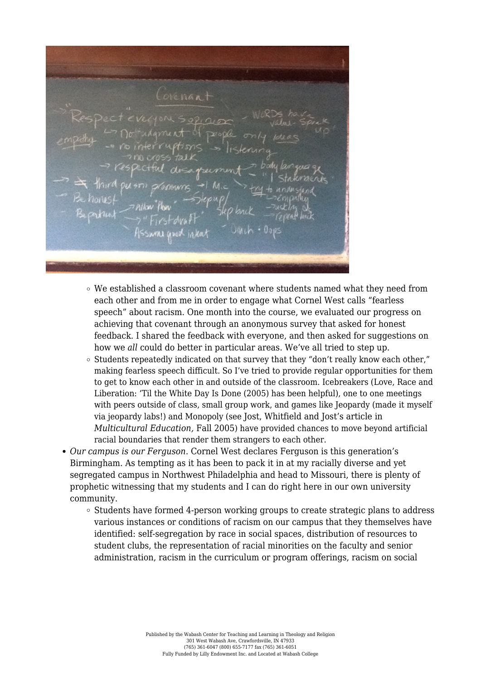ovenant

- We established a classroom covenant where students named what they need from each other and from me in order to engage what Cornel West calls "fearless speech" about racism. One month into the course, we evaluated our progress on achieving that covenant through an anonymous survey that asked for honest feedback. I shared the feedback with everyone, and then asked for suggestions on how we *all* could do better in particular areas. We've all tried to step up.
- $\circ$  Students repeatedly indicated on that survey that they "don't really know each other." making fearless speech difficult. So I've tried to provide regular opportunities for them to get to know each other in and outside of the classroom. Icebreakers ([Love, Race and](http://www.amazon.com/Love-Race-Liberation-White-Done/dp/061536067X) [Liberation: 'Til the White Day Is Done \(2005\)](http://www.amazon.com/Love-Race-Liberation-White-Done/dp/061536067X) has been helpful), one to one meetings with peers outside of class, small group work, and games like Jeopardy (made it myself via [jeopardy labs!\)](https://jeopardylabs.com/) and Monopoly (see Jost, Whitfield and Jost's article in *Multicultural Education,* Fall 2005) have provided chances to move beyond artificial racial boundaries that render them strangers to each other.
- *Our campus is our Ferguson*. Cornel West declares Ferguson is this generation's Birmingham. As tempting as it has been to pack it in at my racially diverse and yet segregated campus in Northwest Philadelphia and head to Missouri, there is plenty of prophetic witnessing that my students and I can do right here in our own university community.
	- $\circ$  Students have formed 4-person working groups to create strategic plans to address various instances or conditions of racism on our campus that they themselves have identified: self-segregation by race in social spaces, distribution of resources to student clubs, the representation of racial minorities on the faculty and senior administration, racism in the curriculum or program offerings, racism on social